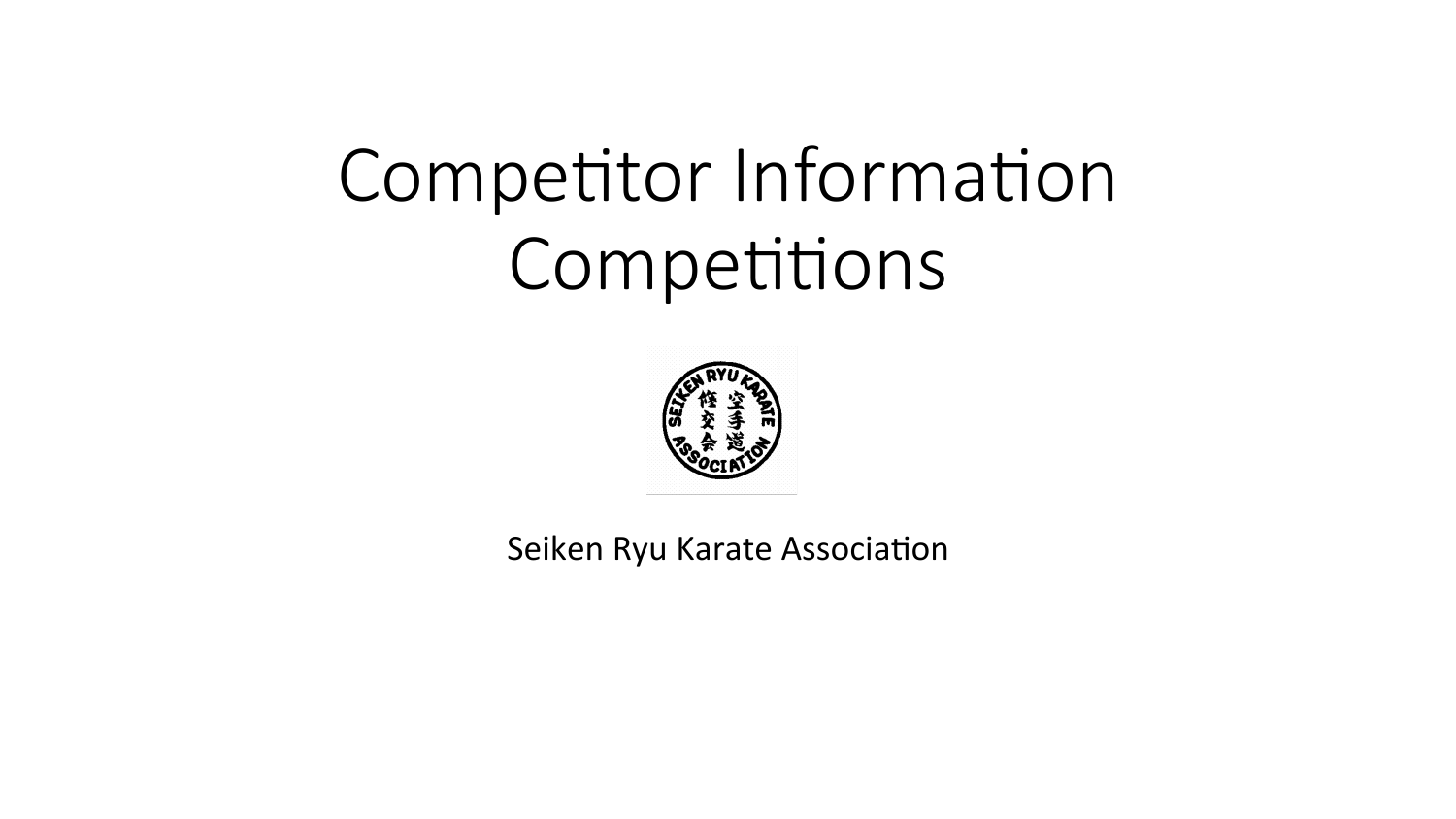# Competitor Information Competitions



Seiken Ryu Karate Association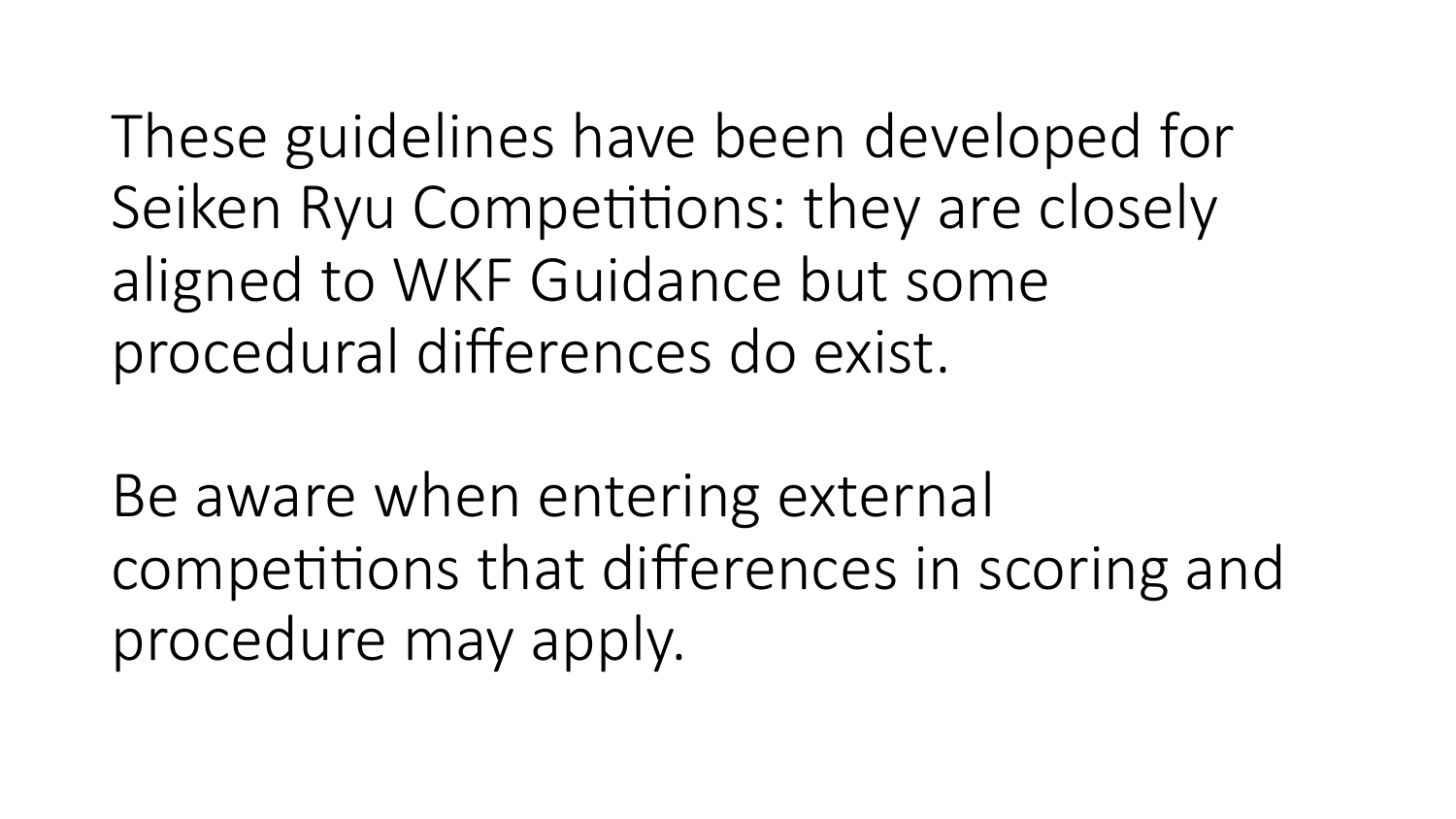These guidelines have been developed for Seiken Ryu Competitions: they are closely aligned to WKF Guidance but some procedural differences do exist.

Be aware when entering external competitions that differences in scoring and procedure may apply.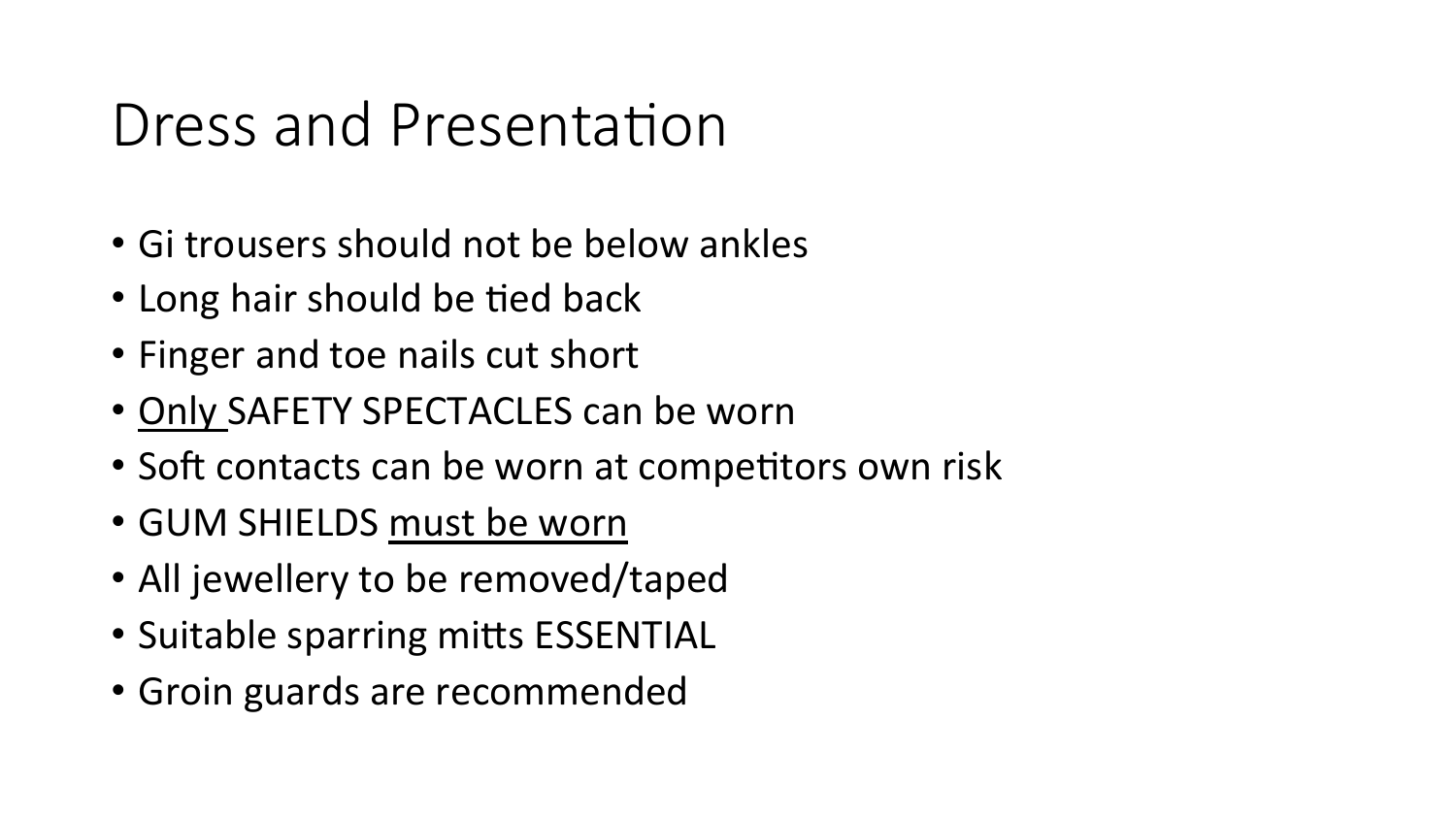#### Dress and Presentation

- Gi trousers should not be below ankles
- Long hair should be tied back
- Finger and toe nails cut short
- Only SAFETY SPECTACLES can be worn
- Soft contacts can be worn at competitors own risk
- GUM SHIELDS must be worn
- All jewellery to be removed/taped
- Suitable sparring mitts ESSENTIAL
- Groin guards are recommended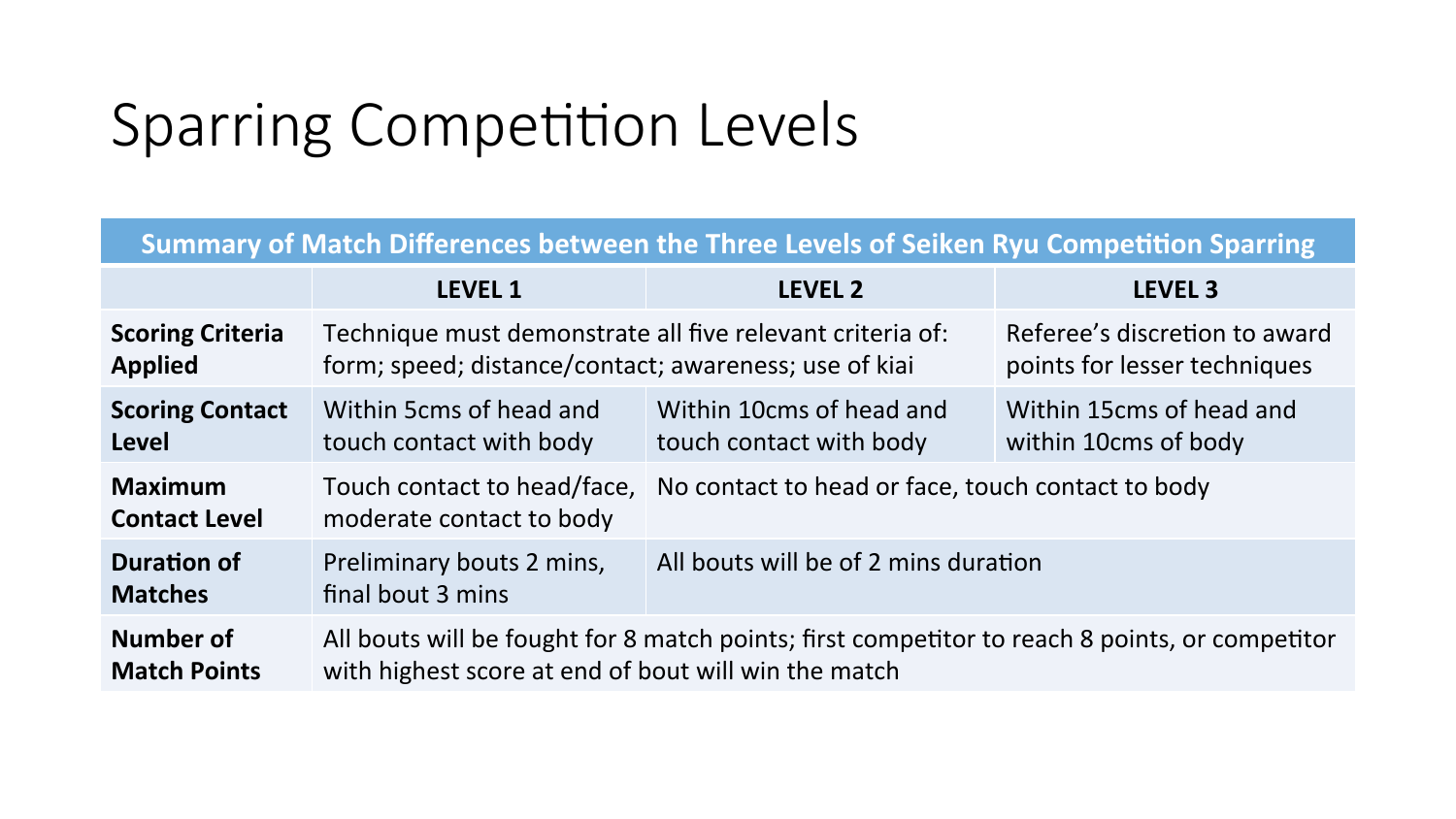#### Sparring Competition Levels

#### **Summary of Match Differences between the Three Levels of Seiken Ryu Competition Sparring**

|                                        | <b>LEVEL 1</b>                                                                                 | <b>LEVEL 2</b>                                    | <b>LEVEL 3</b>                |
|----------------------------------------|------------------------------------------------------------------------------------------------|---------------------------------------------------|-------------------------------|
| <b>Scoring Criteria</b>                | Technique must demonstrate all five relevant criteria of:                                      |                                                   | Referee's discretion to award |
| <b>Applied</b>                         | form; speed; distance/contact; awareness; use of kiai                                          |                                                   | points for lesser techniques  |
| <b>Scoring Contact</b>                 | Within 5cms of head and                                                                        | Within 10cms of head and                          | Within 15cms of head and      |
| <b>Level</b>                           | touch contact with body                                                                        | touch contact with body                           | within 10cms of body          |
| <b>Maximum</b><br><b>Contact Level</b> | Touch contact to head/face,<br>moderate contact to body                                        | No contact to head or face, touch contact to body |                               |
| <b>Duration of</b><br><b>Matches</b>   | Preliminary bouts 2 mins,<br>final bout 3 mins                                                 | All bouts will be of 2 mins duration              |                               |
| Number of                              | All bouts will be fought for 8 match points; first competitor to reach 8 points, or competitor |                                                   |                               |
| <b>Match Points</b>                    | with highest score at end of bout will win the match                                           |                                                   |                               |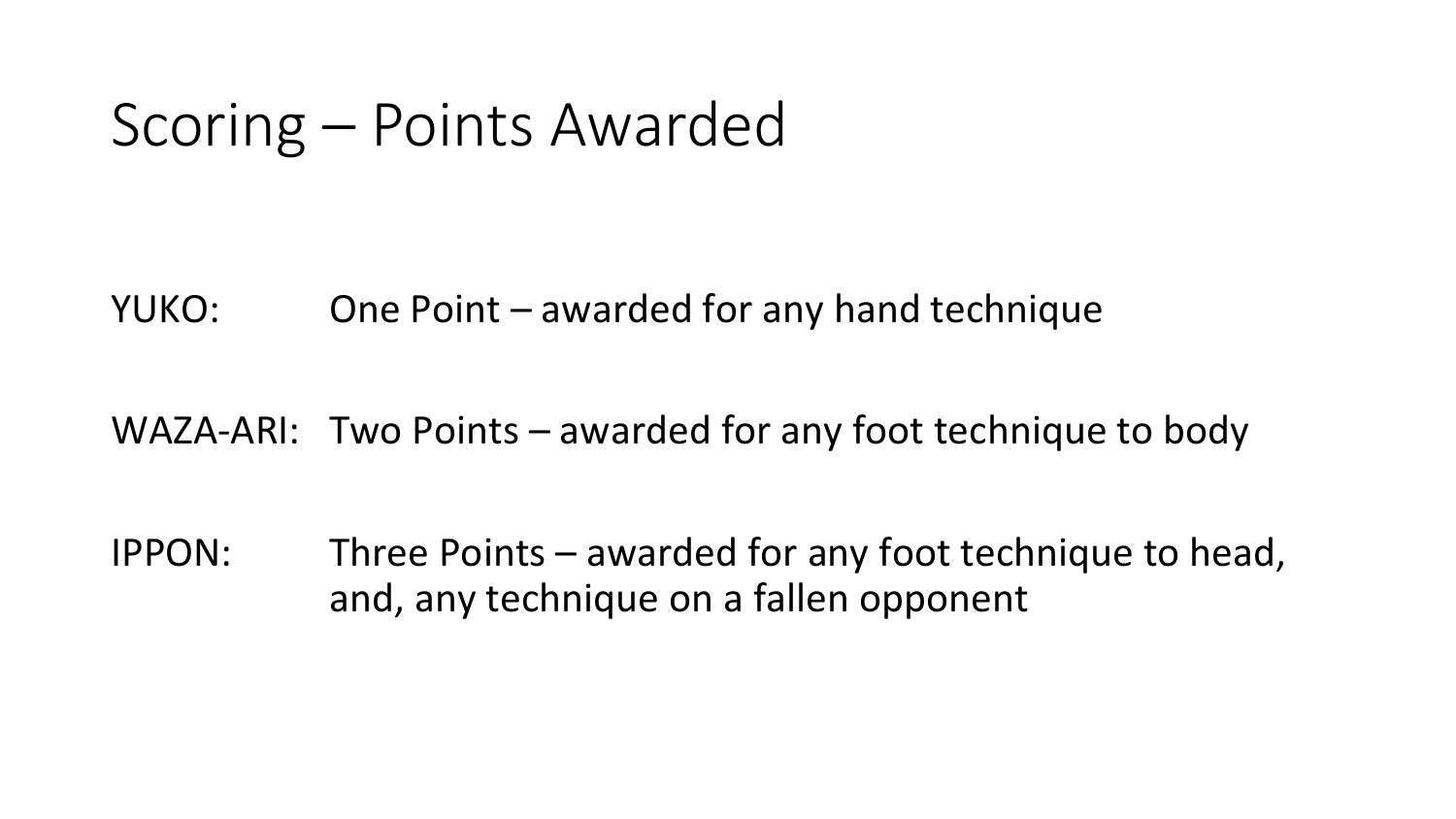#### Scoring – Points Awarded

YUKO: One Point – awarded for any hand technique

WAZA-ARI: Two Points  $-$  awarded for any foot technique to body

IPPON: Three Points  $-$  awarded for any foot technique to head, and, any technique on a fallen opponent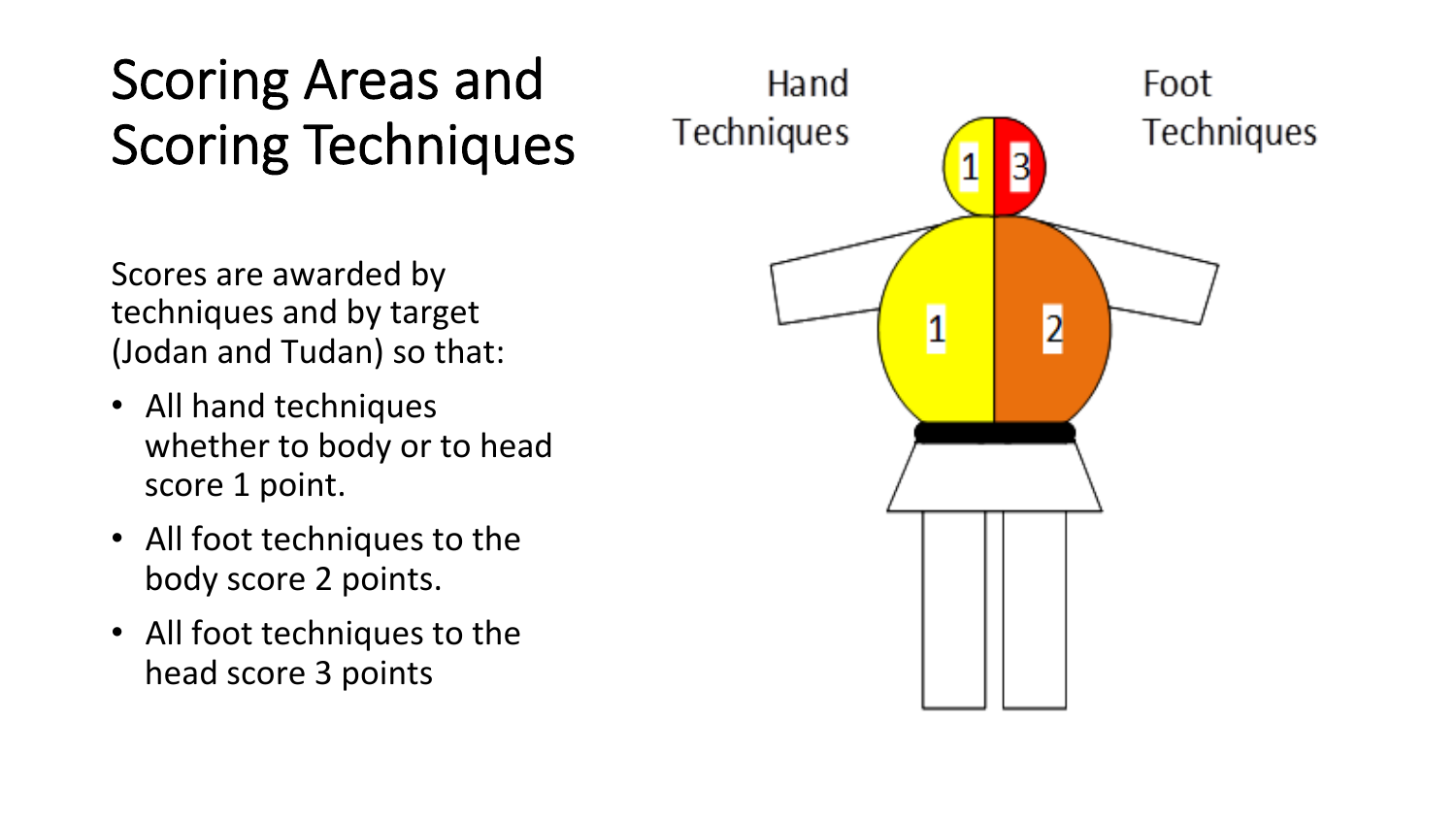#### Scoring Areas and Scoring Techniques

Scores are awarded by techniques and by target (Jodan and Tudan) so that:

- All hand techniques whether to body or to head score 1 point.
- All foot techniques to the body score 2 points.
- All foot techniques to the head score 3 points

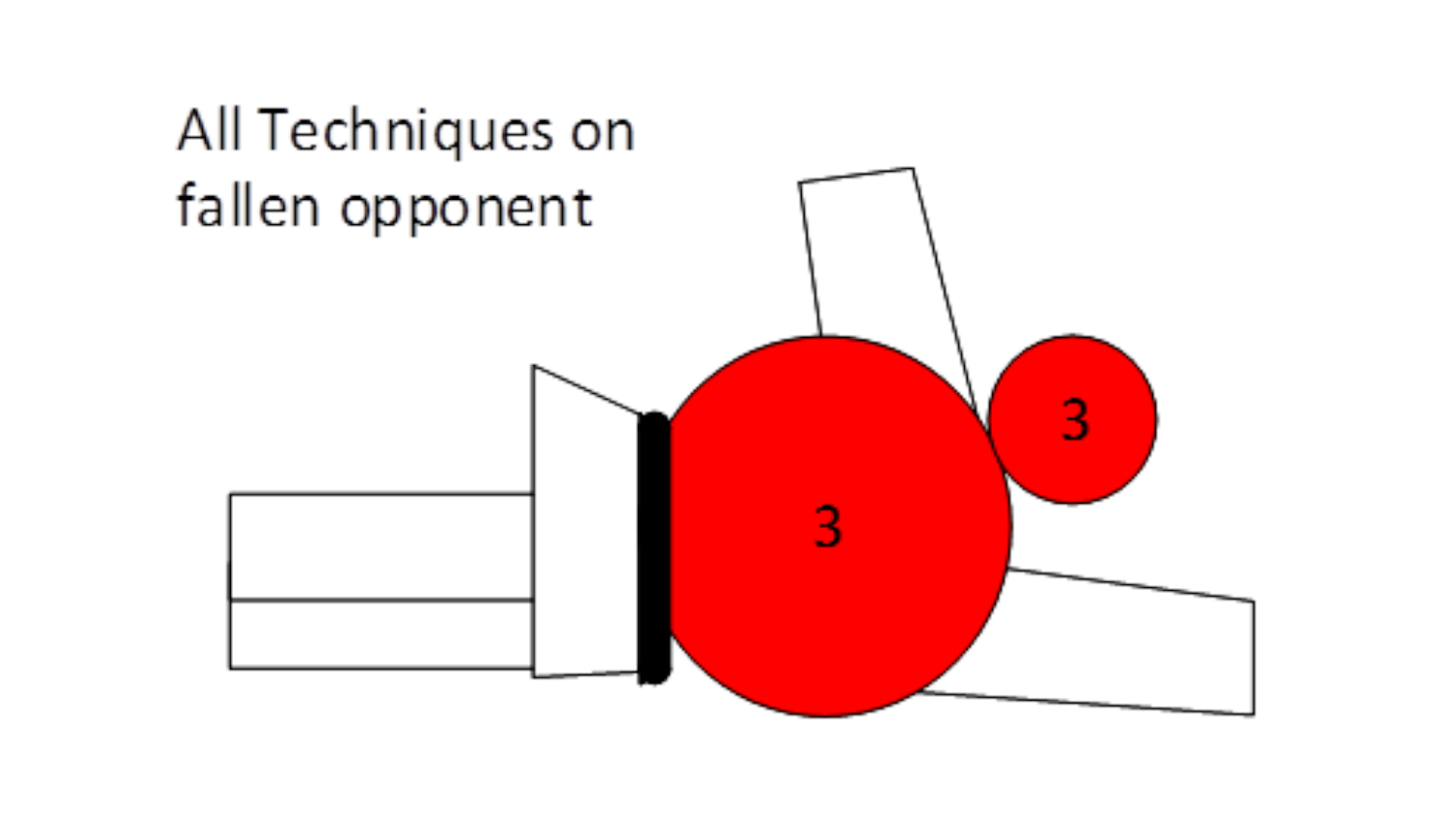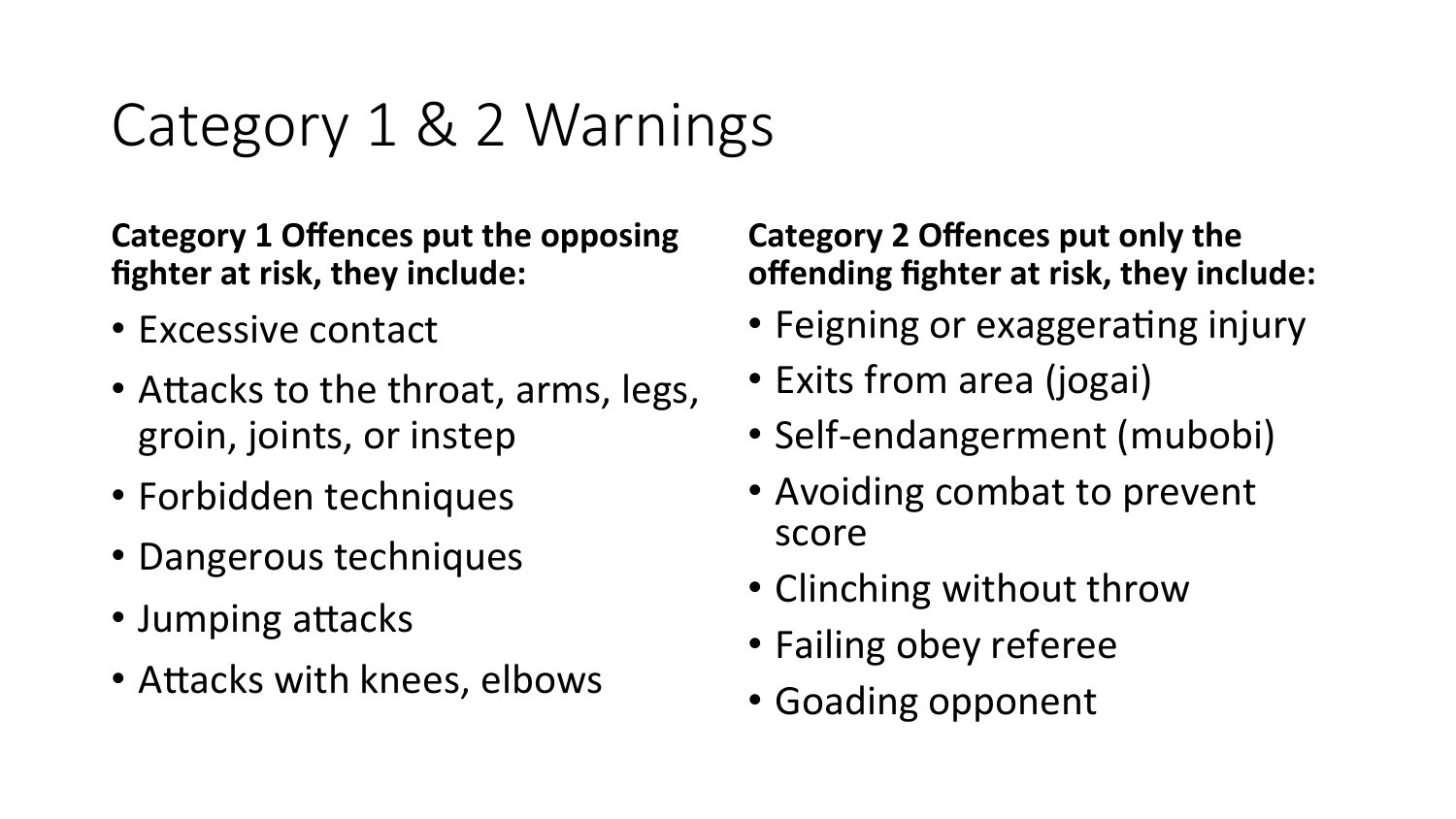### Category 1 & 2 Warnings

**Category 1 Offences put the opposing fighter at risk, they include:** 

- Excessive contact
- Attacks to the throat, arms, legs, groin, joints, or instep
- Forbidden techniques
- Dangerous techniques
- Jumping attacks
- Attacks with knees, elbows

#### **Category 2 Offences put only the offending fighter at risk, they include:**

- Feigning or exaggerating injury
- Exits from area (jogai)
- Self-endangerment (mubobi)
- Avoiding combat to prevent score
- Clinching without throw
- Failing obey referee
- Goading opponent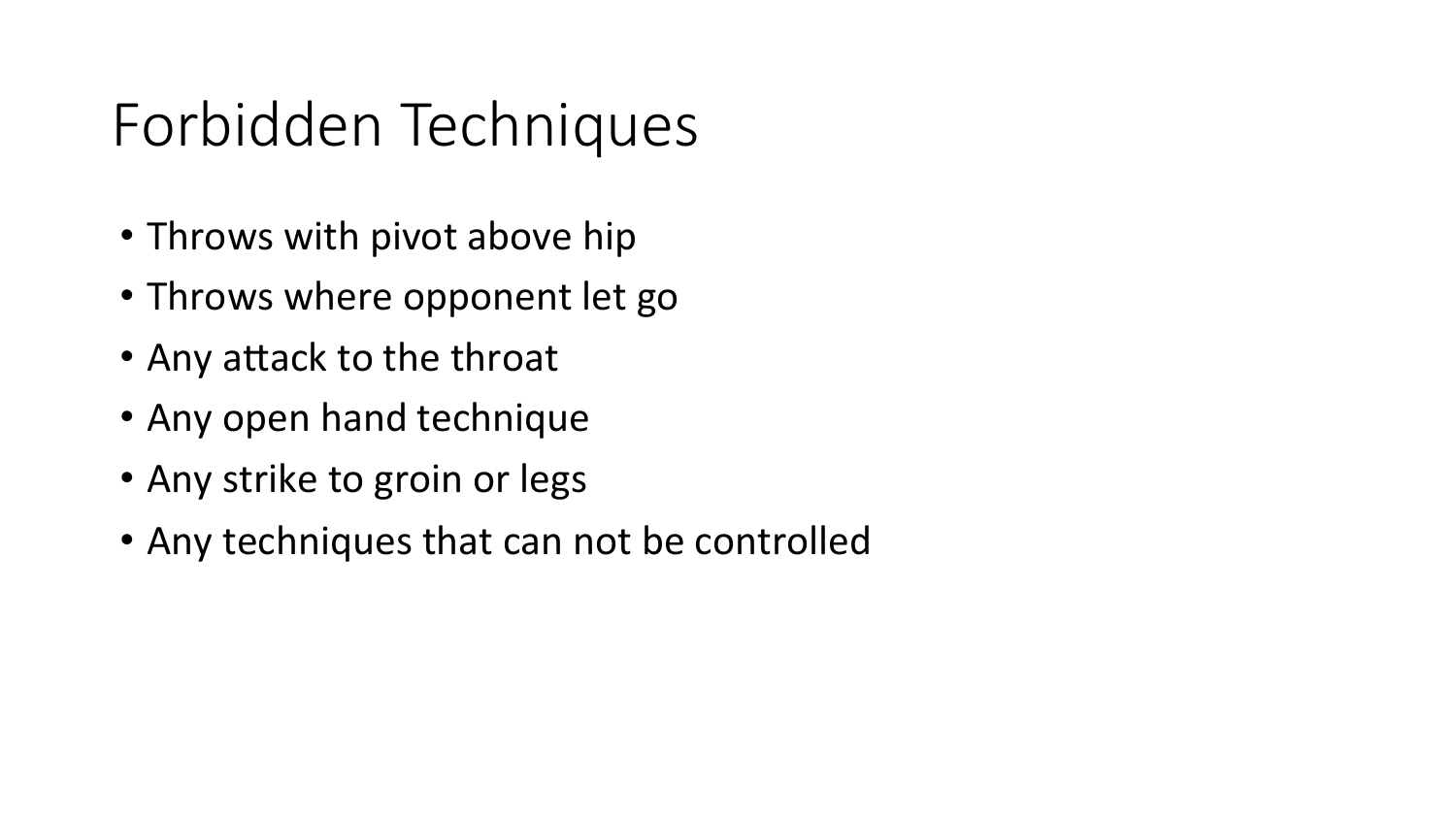## Forbidden Techniques

- Throws with pivot above hip
- Throws where opponent let go
- Any attack to the throat
- Any open hand technique
- Any strike to groin or legs
- Any techniques that can not be controlled